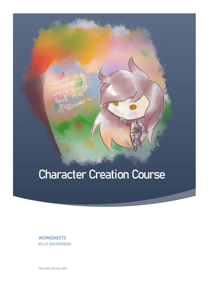# Character Creation Course

**WORKSHEETS** KELLY WATKINSON

THE LADY IN THE LOFT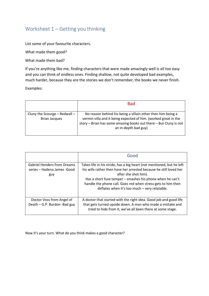## Worksheet 1 – Getting you thinking

List some of your favourite characters.

What made them good?

What made them bad?

If you're anything like me, finding characters that were made amazingly well is all too easy and you can think of endless ones. Finding shallow, not quite developed bad examples, much harder, because they are the stories we don't remember, the books we never finish.

Examples:

|                                                       | <b>Bad</b>                                                                                                                                                                                                                      |
|-------------------------------------------------------|---------------------------------------------------------------------------------------------------------------------------------------------------------------------------------------------------------------------------------|
| Cluny the Scourge - Redwall -<br><b>Brian Jacques</b> | No reason behind his being a villain other then him being a<br>vermin villa and it being expected of him. (worked great in the<br>story $-$ Brian has some amazing books out there $-$ But Cluny is not<br>an in-depth bad guy) |

|                                                                           | Good                                                                                                                                                                                                                                                                                                                                             |
|---------------------------------------------------------------------------|--------------------------------------------------------------------------------------------------------------------------------------------------------------------------------------------------------------------------------------------------------------------------------------------------------------------------------------------------|
| <b>Gabriel Henders from Dreams</b><br>series – Hadena James - Good<br>guy | Takes life in his stride, has a big heart (not mentioned, but he left<br>his wife rather then have her arrested because he still loved her<br>after she shot him).<br>Has a short fuse temper – smashes his phone when he can't<br>handle the phone call. Goes red when stress gets to him then<br>deflates when it's too much - very relatable. |
| Doctor Voss from Angel of<br>Death - G.P. Burdon - Bad guy                | A doctor that started with the right idea. Good job and good life<br>that gets turned upside down. A man who made a mistake and<br>tried to hide from it, we've all been there at some stage.                                                                                                                                                    |

Now it's your turn. What do you think makes a good character?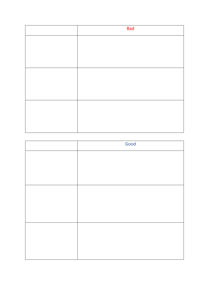| <b>Bad</b> |
|------------|
|            |
|            |
|            |
|            |
|            |
|            |
|            |
|            |
|            |

| Good |
|------|
|      |
|      |
|      |
|      |
|      |
|      |
|      |
|      |
|      |
|      |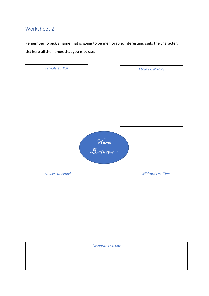Remember to pick a name that is going to be memorable, interesting, suits the character. List here all the names that you may use.



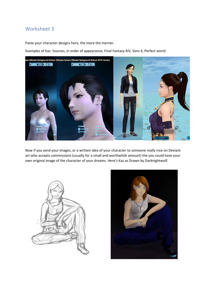Paste your character designs here, the more the merrier.

Examples of Kaz: Sources, in order of appearance, Final Fantasy XIV, Sims 4, Perfect world



Now if you send your images, or a written idea of your character to someone really nice on Deviant art who accepts commissions (usually for a small and worthwhile amount) the you could have your own original image of the character of your dreams. Here's Kaz as Drawn by Darknightwolf.



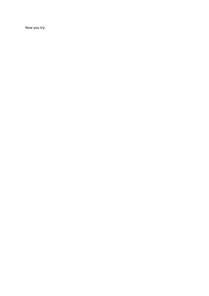Now you try.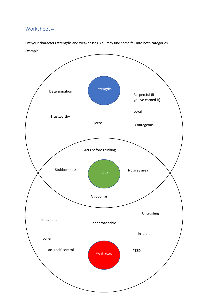List your characters strengths and weaknesses. You may find some fall into both categories.

Example:

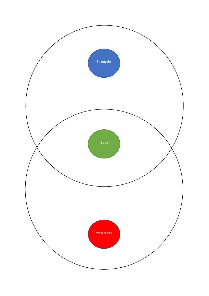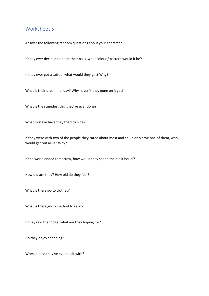Answer the following random questions about your character.

If they ever decided to paint their nails, what colour / pattern would it be?

If they ever got a tattoo, what would they get? Why?

What is their dream holiday? Why haven't they gone on it yet?

What is the stupidest thig they've ever done?

What mistake have they tried to hide?

If they were with two of the people they cared about most and could only save one of them, who would get out alive? Why?

If the world ended tomorrow, how would they spend their last hours?

How old are they? How old do they feel?

What is there go-to clothes?

What is there go-to method to relax?

If they raid the fridge, what are they hoping for?

Do they enjoy shopping?

Worst illness they've ever dealt with?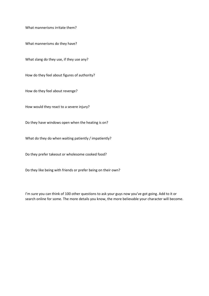What mannerisms irritate them?

What mannerisms do they have?

What slang do they use, if they use any?

How do they feel about figures of authority?

How do they feel about revenge?

How would they react to a severe injury?

Do they have windows open when the heating is on?

What do they do when waiting patiently / impatiently?

Do they prefer takeout or wholesome cooked food?

Do they like being with friends or prefer being on their own?

I'm sure you can think of 100 other questions to ask your guys now you've got going. Add to it or search online for some. The more details you know, the more believable your character will become.